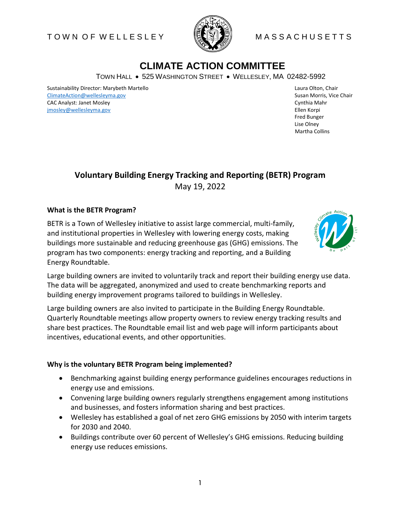## T O W N O F W E L L E S L E Y WASSA C H U S A C H U S E T T S



# **CLIMATE ACTION COMMITTEE**

TOWN HALL . 525 WASHINGTON STREET . WELLESLEY, MA 02482-5992

Sustainability Director: Marybeth Martello Laura Olton, Chair Laura Olton, Chair [ClimateAction@wellesleyma.gov](mailto:ClimateAction@wellesleyma.gov) **Susan Morris, Vice Chair** Susan Morris, Vice Chair CAC Analyst: Janet Mosley Cynthia Mahr [jmosley@wellesleyma.gov](mailto:jmosley@wellesleyma.gov) Ellen Korpi

 Martha Collins Fred Bunger Lise Olney

# **Voluntary Building Energy Tracking and Reporting (BETR) Program** May 19, 2022

### **What is the BETR Program?**

BETR is a Town of Wellesley initiative to assist large commercial, multi-family, and institutional properties in Wellesley with lowering energy costs, making buildings more sustainable and reducing greenhouse gas (GHG) emissions. The program has two components: energy tracking and reporting, and a Building Energy Roundtable.



Large building owners are invited to voluntarily track and report their building energy use data. The data will be aggregated, anonymized and used to create benchmarking reports and building energy improvement programs tailored to buildings in Wellesley.

Large building owners are also invited to participate in the Building Energy Roundtable. Quarterly Roundtable meetings allow property owners to review energy tracking results and share best practices. The Roundtable email list and web page will inform participants about incentives, educational events, and other opportunities.

#### **Why is the voluntary BETR Program being implemented?**

- Benchmarking against building energy performance guidelines encourages reductions in energy use and emissions.
- Convening large building owners regularly strengthens engagement among institutions and businesses, and fosters information sharing and best practices.
- Wellesley has established a goal of net zero GHG emissions by 2050 with interim targets for 2030 and 2040.
- Buildings contribute over 60 percent of Wellesley's GHG emissions. Reducing building energy use reduces emissions.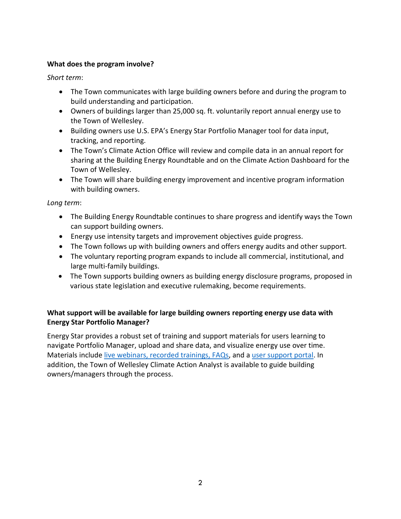## **What does the program involve?**

*Short term*:

- The Town communicates with large building owners before and during the program to build understanding and participation.
- Owners of buildings larger than 25,000 sq. ft. voluntarily report annual energy use to the Town of Wellesley.
- Building owners use U.S. EPA's Energy Star Portfolio Manager tool for data input, tracking, and reporting.
- The Town's Climate Action Office will review and compile data in an annual report for sharing at the Building Energy Roundtable and on the Climate Action Dashboard for the Town of Wellesley.
- The Town will share building energy improvement and incentive program information with building owners.

*Long term*:

- The Building Energy Roundtable continues to share progress and identify ways the Town can support building owners.
- Energy use intensity targets and improvement objectives guide progress.
- The Town follows up with building owners and offers energy audits and other support.
- The voluntary reporting program expands to include all commercial, institutional, and large multi-family buildings.
- The Town supports building owners as building energy disclosure programs, proposed in various state legislation and executive rulemaking, become requirements.

## **What support will be available for large building owners reporting energy use data with Energy Star Portfolio Manager?**

Energy Star provides a robust set of training and support materials for users learning to navigate Portfolio Manager, upload and share data, and visualize energy use over time. Materials include [live webinars, recorded trainings, FAQs,](https://www.energystar.gov/buildings/training) and a [user support portal.](http://www.energystar.gov/buildingshelp) In addition, the Town of Wellesley Climate Action Analyst is available to guide building owners/managers through the process.